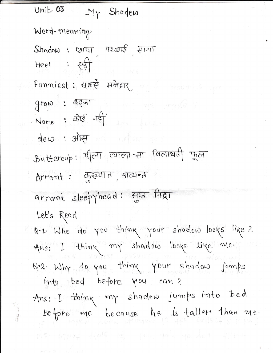Unit  $03$   $My$  Shadow Word-meaning  $Shadow: QPT: QQQQQ$ Heel :  $\sqrt{3}$ Funniest: सबसे मजेवार and grow: OGOT None: कोर्ड नहीं dew : site Buttercup: 4/011 1211011- til familial got Arrant: कुख्यात, अत्यन्त arrant sleepyhead: FIGT fagt Let's Read Q.1. Who do you think your shadow looks like? Ans: I think my shadow looks like me. B.2. Why do you think your shadow jumps into bed before you can? Ans: I think my shadow jumps into bed before me because he is taller than me.

 $17132 - 41016$